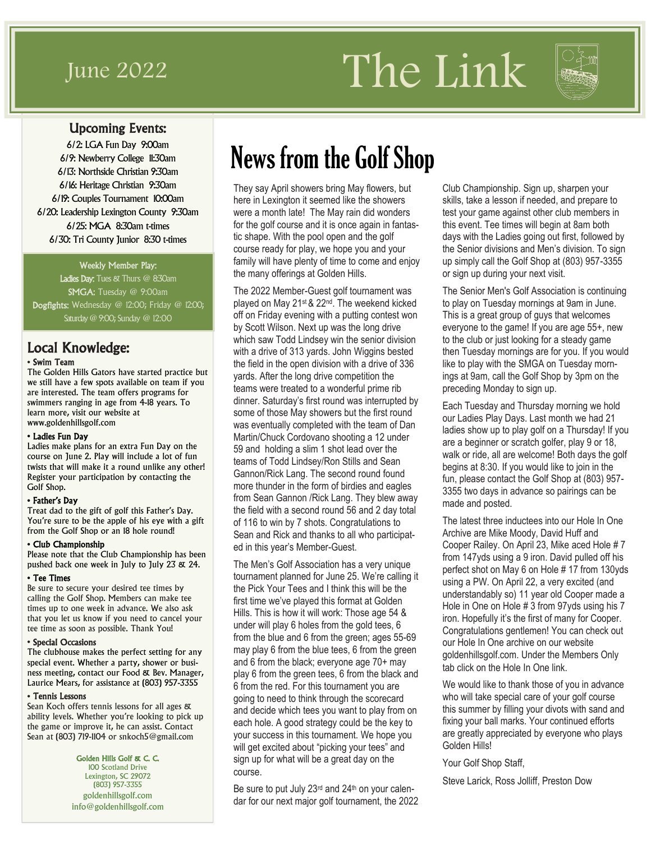# June 2022 The Link



### Upcoming Events:

6/2: LGA Fun Day 9:00am 6/9: Newberry College 11:30am 6/13: Northside Christian 9:30am 6/16: Heritage Christian 9:30am 6/19: Couples Tournament 10:00am 6/20: Leadership Lexington County 9:30am 6/25: MGA 8:30am t-times 6/30: Tri County Junior 8:30 t-times

#### Weekly Member Play:

Ladies Day: Tues & Thurs @ 8:30am SMGA: Tuesday @ 9:00am Dogfights: Wednesday @ 12:00; Friday @ 12:00; Saturday @ 9:00; Sunday @ 12:00

### Local Knowledge:

#### • Swim Team

The Golden Hills Gators have started practice but we still have a few spots available on team if you are interested. The team offers programs for swimmers ranging in age from 4-18 years. To learn more, visit our website at www.goldenhillsgolf.com

#### • Ladies Fun Day

Ladies make plans for an extra Fun Day on the course on June 2. Play will include a lot of fun twists that will make it a round unlike any other! Register your participation by contacting the Golf Shop.

#### • Father's Day

Treat dad to the gift of golf this Father's Day. You're sure to be the apple of his eye with a gift from the Golf Shop or an 18 hole round!

#### • Club Championship

Please note that the Club Championship has been pushed back one week in July to July 23 & 24.

#### • Tee Times

Be sure to secure your desired tee times by calling the Golf Shop. Members can make tee times up to one week in advance. We also ask that you let us know if you need to cancel your tee time as soon as possible. Thank You!

#### • Special Occasions

The clubhouse makes the perfect setting for any special event. Whether a party, shower or business meeting, contact our Food & Bev. Manager, Laurice Mears, for assistance at (803) 957-3355

#### • Tennis Lessons

Sean Koch offers tennis lessons for all ages & ability levels. Whether you're looking to pick up the game or improve it, he can assist. Contact Sean at (803) 719-1104 or snkoch5@gmail.com

Golden Hills Golf & C. C.

100 Scotland Drive Lexington, SC 29072 (803) 957-3355 goldenhillsgolf.com info@goldenhillsgolf.com

# News from the Golf Shop

They say April showers bring May flowers, but here in Lexington it seemed like the showers were a month late! The May rain did wonders for the golf course and it is once again in fantastic shape. With the pool open and the golf course ready for play, we hope you and your family will have plenty of time to come and enjoy the many offerings at Golden Hills.

The 2022 Member-Guest golf tournament was played on May 21st & 22nd. The weekend kicked off on Friday evening with a putting contest won by Scott Wilson. Next up was the long drive which saw Todd Lindsey win the senior division with a drive of 313 yards. John Wiggins bested the field in the open division with a drive of 336 yards. After the long drive competition the teams were treated to a wonderful prime rib dinner. Saturday's first round was interrupted by some of those May showers but the first round was eventually completed with the team of Dan Martin/Chuck Cordovano shooting a 12 under 59 and holding a slim 1 shot lead over the teams of Todd Lindsey/Ron Stills and Sean Gannon/Rick Lang. The second round found more thunder in the form of birdies and eagles from Sean Gannon /Rick Lang. They blew away the field with a second round 56 and 2 day total of 116 to win by 7 shots. Congratulations to Sean and Rick and thanks to all who participated in this year's Member-Guest.

The Men's Golf Association has a very unique tournament planned for June 25. We're calling it the Pick Your Tees and I think this will be the first time we've played this format at Golden Hills. This is how it will work: Those age 54 & under will play 6 holes from the gold tees, 6 from the blue and 6 from the green; ages 55-69 may play 6 from the blue tees, 6 from the green and 6 from the black; everyone age 70+ may play 6 from the green tees, 6 from the black and 6 from the red. For this tournament you are going to need to think through the scorecard and decide which tees you want to play from on each hole. A good strategy could be the key to your success in this tournament. We hope you will get excited about "picking your tees" and sign up for what will be a great day on the course.

Be sure to put July 23rd and 24th on your calendar for our next major golf tournament, the 2022 Club Championship. Sign up, sharpen your skills, take a lesson if needed, and prepare to test your game against other club members in this event. Tee times will begin at 8am both days with the Ladies going out first, followed by the Senior divisions and Men's division. To sign up simply call the Golf Shop at (803) 957-3355 or sign up during your next visit.

The Senior Men's Golf Association is continuing to play on Tuesday mornings at 9am in June. This is a great group of guys that welcomes everyone to the game! If you are age 55+, new to the club or just looking for a steady game then Tuesday mornings are for you. If you would like to play with the SMGA on Tuesday mornings at 9am, call the Golf Shop by 3pm on the preceding Monday to sign up.

Each Tuesday and Thursday morning we hold our Ladies Play Days. Last month we had 21 ladies show up to play golf on a Thursday! If you are a beginner or scratch golfer, play 9 or 18, walk or ride, all are welcome! Both days the golf begins at 8:30. If you would like to join in the fun, please contact the Golf Shop at (803) 957- 3355 two days in advance so pairings can be made and posted.

The latest three inductees into our Hole In One Archive are Mike Moody, David Huff and Cooper Railey. On April 23, Mike aced Hole # 7 from 147yds using a 9 iron. David pulled off his perfect shot on May 6 on Hole # 17 from 130yds using a PW. On April 22, a very excited (and understandably so) 11 year old Cooper made a Hole in One on Hole # 3 from 97yds using his 7 iron. Hopefully it's the first of many for Cooper. Congratulations gentlemen! You can check out our Hole In One archive on our website goldenhillsgolf.com. Under the Members Only tab click on the Hole In One link.

We would like to thank those of you in advance who will take special care of your golf course this summer by filling your divots with sand and fixing your ball marks. Your continued efforts are greatly appreciated by everyone who plays Golden Hills!

Your Golf Shop Staff,

Steve Larick, Ross Jolliff, Preston Dow